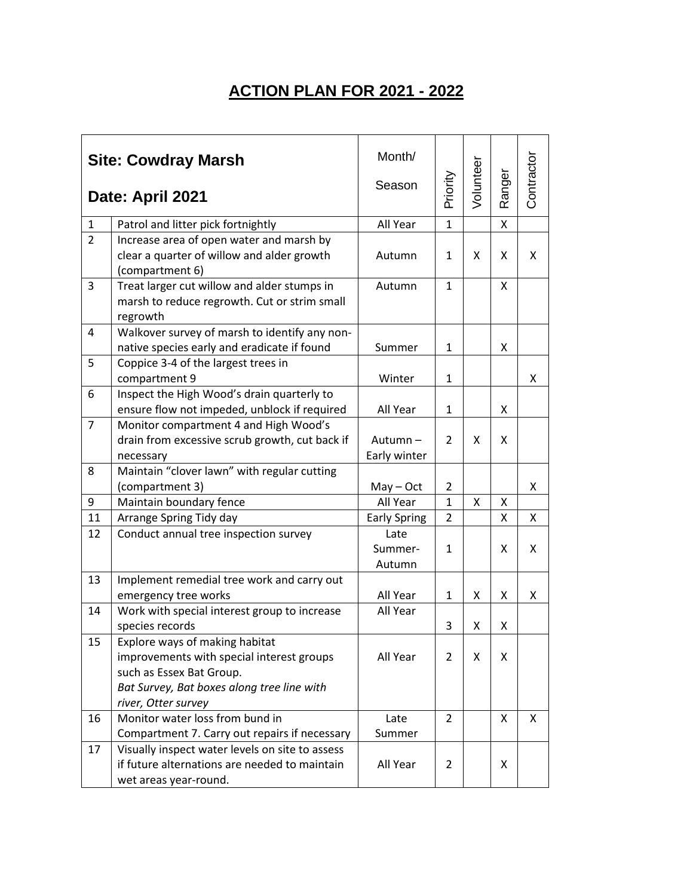## **ACTION PLAN FOR 2021 - 2022**

| <b>Site: Cowdray Marsh</b><br>Date: April 2021 |                                                                                                                                                                              | Month/<br>Season          | Priority       | Voluntee | Ranger | Contractor |
|------------------------------------------------|------------------------------------------------------------------------------------------------------------------------------------------------------------------------------|---------------------------|----------------|----------|--------|------------|
| $\mathbf{1}$                                   | Patrol and litter pick fortnightly                                                                                                                                           | All Year                  | $\mathbf{1}$   |          | Χ      |            |
| $\overline{2}$                                 | Increase area of open water and marsh by<br>clear a quarter of willow and alder growth<br>(compartment 6)                                                                    | Autumn                    | $\mathbf{1}$   | X        | X      | X          |
| 3                                              | Treat larger cut willow and alder stumps in<br>marsh to reduce regrowth. Cut or strim small<br>regrowth                                                                      | Autumn                    | 1              |          | X      |            |
| 4                                              | Walkover survey of marsh to identify any non-<br>native species early and eradicate if found                                                                                 | Summer                    | 1              |          | Χ      |            |
| 5                                              | Coppice 3-4 of the largest trees in<br>compartment 9                                                                                                                         | Winter                    | $\mathbf{1}$   |          |        | Χ          |
| 6                                              | Inspect the High Wood's drain quarterly to<br>ensure flow not impeded, unblock if required                                                                                   | All Year                  | $\mathbf{1}$   |          | X      |            |
| $\overline{7}$                                 | Monitor compartment 4 and High Wood's<br>drain from excessive scrub growth, cut back if<br>necessary                                                                         | Autumn-<br>Early winter   | $\overline{2}$ | X        | X      |            |
| 8                                              | Maintain "clover lawn" with regular cutting<br>(compartment 3)                                                                                                               | $May - Oct$               | $\overline{2}$ |          |        | x          |
| 9                                              | Maintain boundary fence                                                                                                                                                      | All Year                  | $\mathbf{1}$   | X        | Χ      |            |
| 11                                             | Arrange Spring Tidy day                                                                                                                                                      | <b>Early Spring</b>       | 2              |          | X      | x          |
| 12                                             | Conduct annual tree inspection survey                                                                                                                                        | Late<br>Summer-<br>Autumn | $\mathbf{1}$   |          | X      | X          |
| 13                                             | Implement remedial tree work and carry out<br>emergency tree works                                                                                                           | All Year                  | $\mathbf{1}$   | Χ        | X      | x          |
| 14                                             | Work with special interest group to increase<br>species records                                                                                                              | All Year                  | 3              | Χ        | X      |            |
| 15                                             | Explore ways of making habitat<br>improvements with special interest groups<br>such as Essex Bat Group.<br>Bat Survey, Bat boxes along tree line with<br>river, Otter survey | All Year                  | 2              | X        | X      |            |
| 16                                             | Monitor water loss from bund in<br>Compartment 7. Carry out repairs if necessary                                                                                             | Late<br>Summer            | 2              |          | X      | X          |
| 17                                             | Visually inspect water levels on site to assess<br>if future alternations are needed to maintain<br>wet areas year-round.                                                    | All Year                  | $\overline{2}$ |          | X      |            |